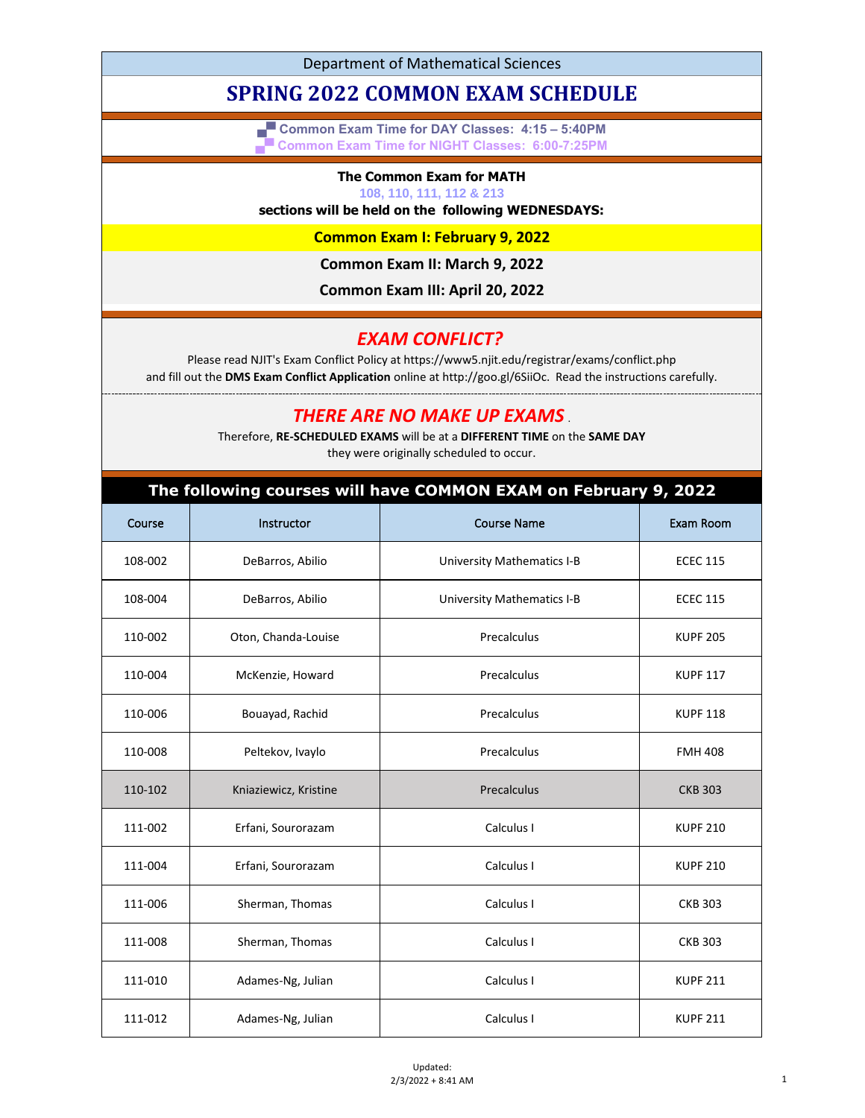Department of Mathematical Sciences

# **SPRING 2022 COMMON EXAM SCHEDULE**

**▄▀ Common Exam Time for DAY Classes: 4:15 – 5:40PM ▄▀ Common Exam Time for NIGHT Classes: 6:00-7:25PM**

#### **The Common Exam for MATH**

**108, 110, 111, 112 & 213**

#### **sections will be held on the following WEDNESDAYS:**

**Common Exam I: February 9, 2022**

**Common Exam II: March 9, 2022**

**Common Exam III: April 20, 2022**

## *EXAM CONFLICT?*

Please read NJIT's Exam Conflict Policy at https://www5.njit.edu/registrar/exams/conflict.php and fill out the **DMS Exam Conflict Application** online at http://goo.gl/6SiiOc. Read the instructions carefully.

### *THERE ARE NO MAKE UP EXAMS* .

Therefore, **RE-SCHEDULED EXAMS** will be at a **DIFFERENT TIME** on the **SAME DAY** they were originally scheduled to occur.

### **The following courses will have COMMON EXAM on February 9, 2022**

| Course  | Instructor            | <b>Course Name</b>                | Exam Room       |
|---------|-----------------------|-----------------------------------|-----------------|
| 108-002 | DeBarros, Abilio      | <b>University Mathematics I-B</b> | <b>ECEC 115</b> |
| 108-004 | DeBarros, Abilio      | <b>University Mathematics I-B</b> | <b>ECEC 115</b> |
| 110-002 | Oton, Chanda-Louise   | Precalculus                       | <b>KUPF 205</b> |
| 110-004 | McKenzie, Howard      | Precalculus                       | <b>KUPF 117</b> |
| 110-006 | Bouayad, Rachid       | Precalculus                       | <b>KUPF 118</b> |
| 110-008 | Peltekov, Ivaylo      | Precalculus                       | <b>FMH 408</b>  |
| 110-102 | Kniaziewicz, Kristine | Precalculus                       | <b>CKB 303</b>  |
| 111-002 | Erfani, Sourorazam    | Calculus I                        | <b>KUPF 210</b> |
| 111-004 | Erfani, Sourorazam    | Calculus I                        | <b>KUPF 210</b> |
| 111-006 | Sherman, Thomas       | Calculus I                        | <b>CKB 303</b>  |
| 111-008 | Sherman, Thomas       | Calculus I                        | <b>CKB 303</b>  |
| 111-010 | Adames-Ng, Julian     | Calculus I                        | <b>KUPF 211</b> |
| 111-012 | Adames-Ng, Julian     | Calculus I                        | <b>KUPF 211</b> |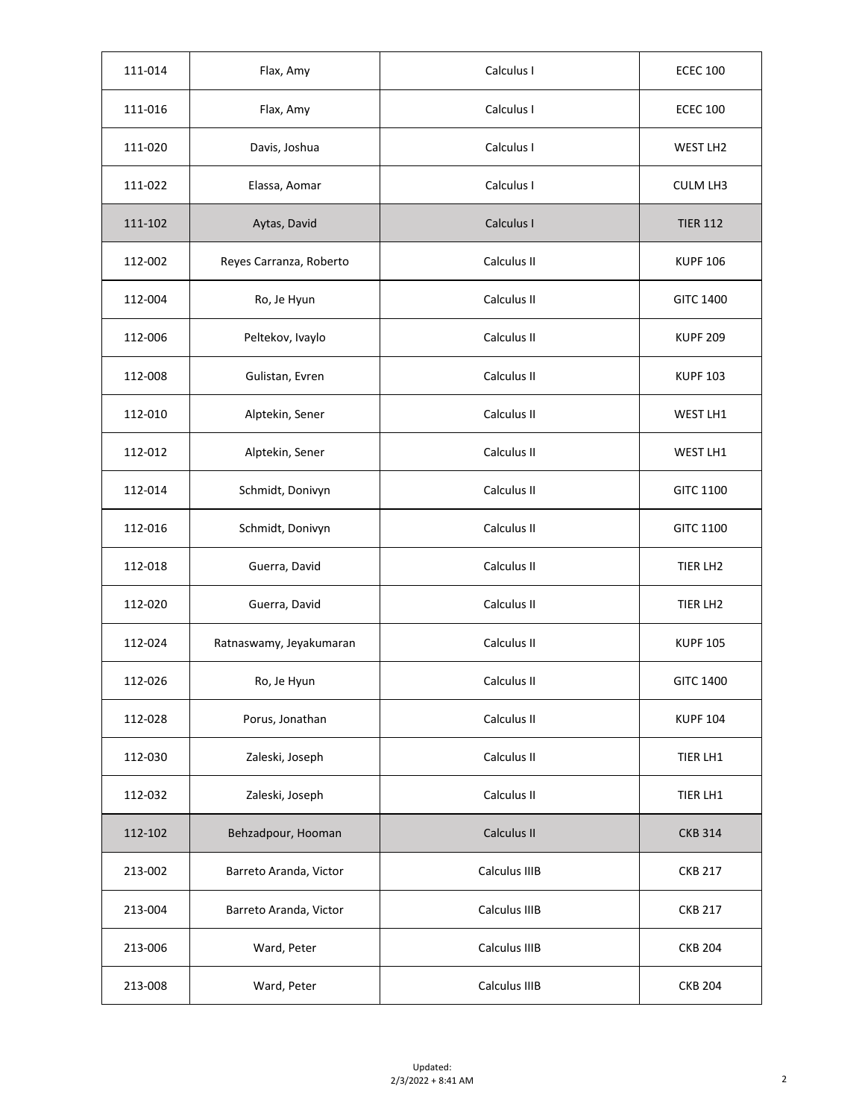| 111-014 | Flax, Amy               | Calculus I    | <b>ECEC 100</b>  |
|---------|-------------------------|---------------|------------------|
| 111-016 | Flax, Amy               | Calculus I    | <b>ECEC 100</b>  |
| 111-020 | Davis, Joshua           | Calculus I    | WEST LH2         |
| 111-022 | Elassa, Aomar           | Calculus I    | <b>CULM LH3</b>  |
| 111-102 | Aytas, David            | Calculus I    | <b>TIER 112</b>  |
| 112-002 | Reyes Carranza, Roberto | Calculus II   | <b>KUPF 106</b>  |
| 112-004 | Ro, Je Hyun             | Calculus II   | <b>GITC 1400</b> |
| 112-006 | Peltekov, Ivaylo        | Calculus II   | <b>KUPF 209</b>  |
| 112-008 | Gulistan, Evren         | Calculus II   | <b>KUPF 103</b>  |
| 112-010 | Alptekin, Sener         | Calculus II   | WEST LH1         |
| 112-012 | Alptekin, Sener         | Calculus II   | WEST LH1         |
| 112-014 | Schmidt, Donivyn        | Calculus II   | <b>GITC 1100</b> |
| 112-016 | Schmidt, Donivyn        | Calculus II   | <b>GITC 1100</b> |
| 112-018 | Guerra, David           | Calculus II   | TIER LH2         |
| 112-020 | Guerra, David           | Calculus II   | TIER LH2         |
| 112-024 | Ratnaswamy, Jeyakumaran | Calculus II   | <b>KUPF 105</b>  |
| 112-026 | Ro, Je Hyun             | Calculus II   | <b>GITC 1400</b> |
| 112-028 | Porus, Jonathan         | Calculus II   | <b>KUPF 104</b>  |
| 112-030 | Zaleski, Joseph         | Calculus II   | TIER LH1         |
| 112-032 | Zaleski, Joseph         | Calculus II   | TIER LH1         |
| 112-102 | Behzadpour, Hooman      | Calculus II   | <b>CKB 314</b>   |
| 213-002 | Barreto Aranda, Victor  | Calculus IIIB | <b>CKB 217</b>   |
| 213-004 | Barreto Aranda, Victor  | Calculus IIIB | <b>CKB 217</b>   |
| 213-006 | Ward, Peter             | Calculus IIIB | <b>CKB 204</b>   |
| 213-008 | Ward, Peter             | Calculus IIIB | <b>CKB 204</b>   |